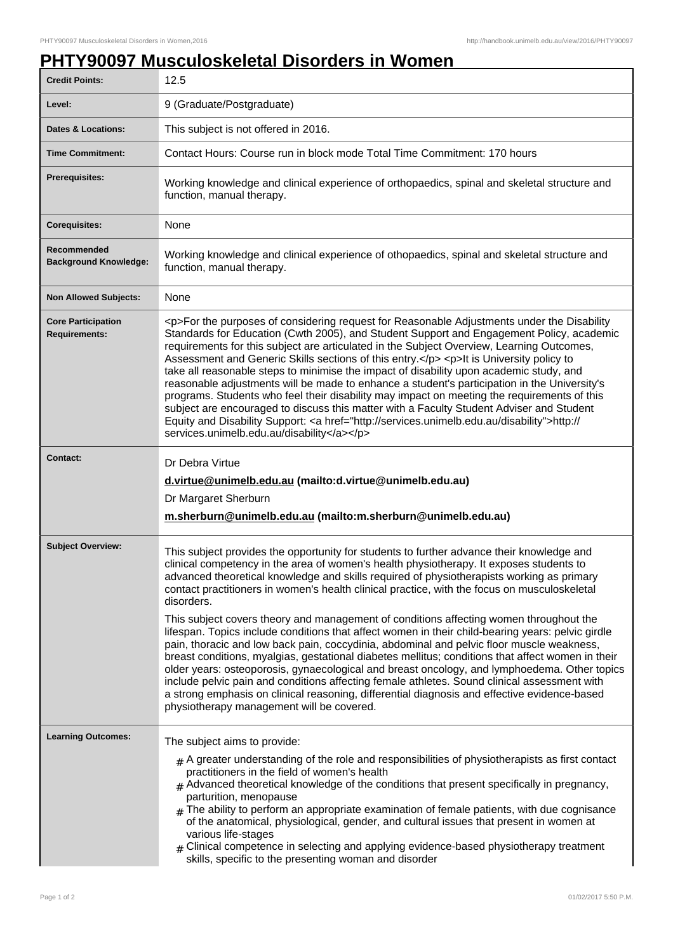## **PHTY90097 Musculoskeletal Disorders in Women**

| <b>Credit Points:</b>                             | 12.5                                                                                                                                                                                                                                                                                                                                                                                                                                                                                                                                                                                                                                                                                                                                                                                                                                                                                                                                                                                                                                                                                                                                          |
|---------------------------------------------------|-----------------------------------------------------------------------------------------------------------------------------------------------------------------------------------------------------------------------------------------------------------------------------------------------------------------------------------------------------------------------------------------------------------------------------------------------------------------------------------------------------------------------------------------------------------------------------------------------------------------------------------------------------------------------------------------------------------------------------------------------------------------------------------------------------------------------------------------------------------------------------------------------------------------------------------------------------------------------------------------------------------------------------------------------------------------------------------------------------------------------------------------------|
| Level:                                            | 9 (Graduate/Postgraduate)                                                                                                                                                                                                                                                                                                                                                                                                                                                                                                                                                                                                                                                                                                                                                                                                                                                                                                                                                                                                                                                                                                                     |
| Dates & Locations:                                | This subject is not offered in 2016.                                                                                                                                                                                                                                                                                                                                                                                                                                                                                                                                                                                                                                                                                                                                                                                                                                                                                                                                                                                                                                                                                                          |
| <b>Time Commitment:</b>                           | Contact Hours: Course run in block mode Total Time Commitment: 170 hours                                                                                                                                                                                                                                                                                                                                                                                                                                                                                                                                                                                                                                                                                                                                                                                                                                                                                                                                                                                                                                                                      |
| <b>Prerequisites:</b>                             | Working knowledge and clinical experience of orthopaedics, spinal and skeletal structure and<br>function, manual therapy.                                                                                                                                                                                                                                                                                                                                                                                                                                                                                                                                                                                                                                                                                                                                                                                                                                                                                                                                                                                                                     |
| <b>Corequisites:</b>                              | None                                                                                                                                                                                                                                                                                                                                                                                                                                                                                                                                                                                                                                                                                                                                                                                                                                                                                                                                                                                                                                                                                                                                          |
| Recommended<br><b>Background Knowledge:</b>       | Working knowledge and clinical experience of othopaedics, spinal and skeletal structure and<br>function, manual therapy.                                                                                                                                                                                                                                                                                                                                                                                                                                                                                                                                                                                                                                                                                                                                                                                                                                                                                                                                                                                                                      |
| <b>Non Allowed Subjects:</b>                      | None                                                                                                                                                                                                                                                                                                                                                                                                                                                                                                                                                                                                                                                                                                                                                                                                                                                                                                                                                                                                                                                                                                                                          |
| <b>Core Participation</b><br><b>Requirements:</b> | <p>For the purposes of considering request for Reasonable Adjustments under the Disability<br/>Standards for Education (Cwth 2005), and Student Support and Engagement Policy, academic<br/>requirements for this subject are articulated in the Subject Overview, Learning Outcomes,<br/>Assessment and Generic Skills sections of this entry.</p> <p>lt is University policy to<br/>take all reasonable steps to minimise the impact of disability upon academic study, and<br/>reasonable adjustments will be made to enhance a student's participation in the University's<br/>programs. Students who feel their disability may impact on meeting the requirements of this<br/>subject are encouraged to discuss this matter with a Faculty Student Adviser and Student<br/>Equity and Disability Support: &lt; a href="http://services.unimelb.edu.au/disability"&gt;http://<br/>services.unimelb.edu.au/disability</p>                                                                                                                                                                                                                  |
| <b>Contact:</b>                                   | Dr Debra Virtue<br>d.virtue@unimelb.edu.au (mailto:d.virtue@unimelb.edu.au)<br>Dr Margaret Sherburn<br>m.sherburn@unimelb.edu.au (mailto:m.sherburn@unimelb.edu.au)                                                                                                                                                                                                                                                                                                                                                                                                                                                                                                                                                                                                                                                                                                                                                                                                                                                                                                                                                                           |
| <b>Subject Overview:</b>                          | This subject provides the opportunity for students to further advance their knowledge and<br>clinical competency in the area of women's health physiotherapy. It exposes students to<br>advanced theoretical knowledge and skills required of physiotherapists working as primary<br>contact practitioners in women's health clinical practice, with the focus on musculoskeletal<br>disorders.<br>This subject covers theory and management of conditions affecting women throughout the<br>lifespan. Topics include conditions that affect women in their child-bearing years: pelvic girdle<br>pain, thoracic and low back pain, coccydinia, abdominal and pelvic floor muscle weakness,<br>breast conditions, myalgias, gestational diabetes mellitus; conditions that affect women in their<br>older years: osteoporosis, gynaecological and breast oncology, and lymphoedema. Other topics<br>include pelvic pain and conditions affecting female athletes. Sound clinical assessment with<br>a strong emphasis on clinical reasoning, differential diagnosis and effective evidence-based<br>physiotherapy management will be covered. |
| <b>Learning Outcomes:</b>                         | The subject aims to provide:<br>$#$ A greater understanding of the role and responsibilities of physiotherapists as first contact<br>practitioners in the field of women's health<br>$#$ Advanced theoretical knowledge of the conditions that present specifically in pregnancy,<br>parturition, menopause<br>The ability to perform an appropriate examination of female patients, with due cognisance<br>#<br>of the anatomical, physiological, gender, and cultural issues that present in women at<br>various life-stages<br>$_{\#}$ Clinical competence in selecting and applying evidence-based physiotherapy treatment<br>skills, specific to the presenting woman and disorder                                                                                                                                                                                                                                                                                                                                                                                                                                                       |